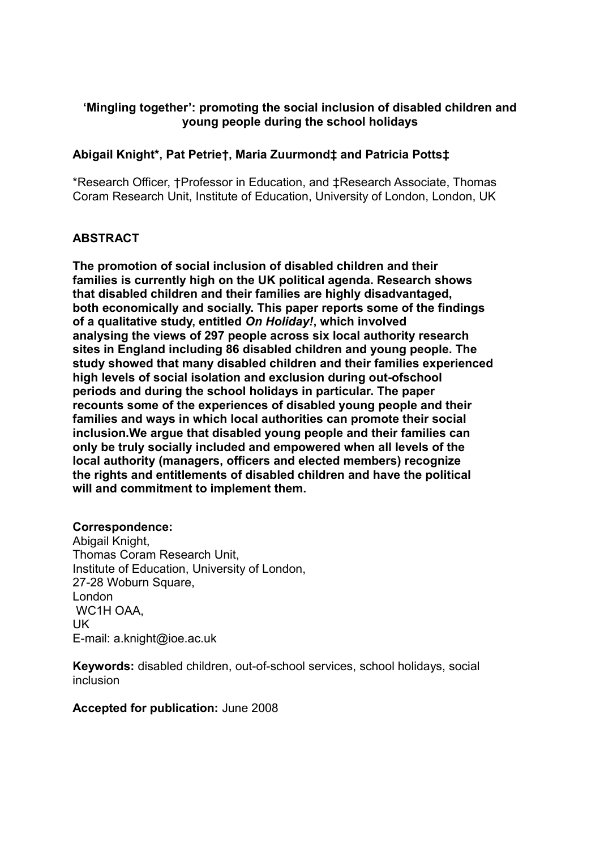### **'Mingling together': promoting the social inclusion of disabled children and young people during the school holidays**

### **Abigail Knight\*, Pat Petrie†, Maria Zuurmond‡ and Patricia Potts‡**

\*Research Officer, †Professor in Education, and ‡Research Associate, Thomas Coram Research Unit, Institute of Education, University of London, London, UK

### **ABSTRACT**

**The promotion of social inclusion of disabled children and their families is currently high on the UK political agenda. Research shows that disabled children and their families are highly disadvantaged, both economically and socially. This paper reports some of the findings of a qualitative study, entitled** *On Holiday!***, which involved analysing the views of 297 people across six local authority research sites in England including 86 disabled children and young people. The study showed that many disabled children and their families experienced high levels of social isolation and exclusion during out-ofschool periods and during the school holidays in particular. The paper recounts some of the experiences of disabled young people and their families and ways in which local authorities can promote their social inclusion.We argue that disabled young people and their families can only be truly socially included and empowered when all levels of the local authority (managers, officers and elected members) recognize the rights and entitlements of disabled children and have the political will and commitment to implement them.**

### **Correspondence:**

Abigail Knight, Thomas Coram Research Unit, Institute of Education, University of London, 27-28 Woburn Square, London WC1H OAA, UK E-mail: a.knight@ioe.ac.uk

**Keywords:** disabled children, out-of-school services, school holidays, social inclusion

**Accepted for publication:** June 2008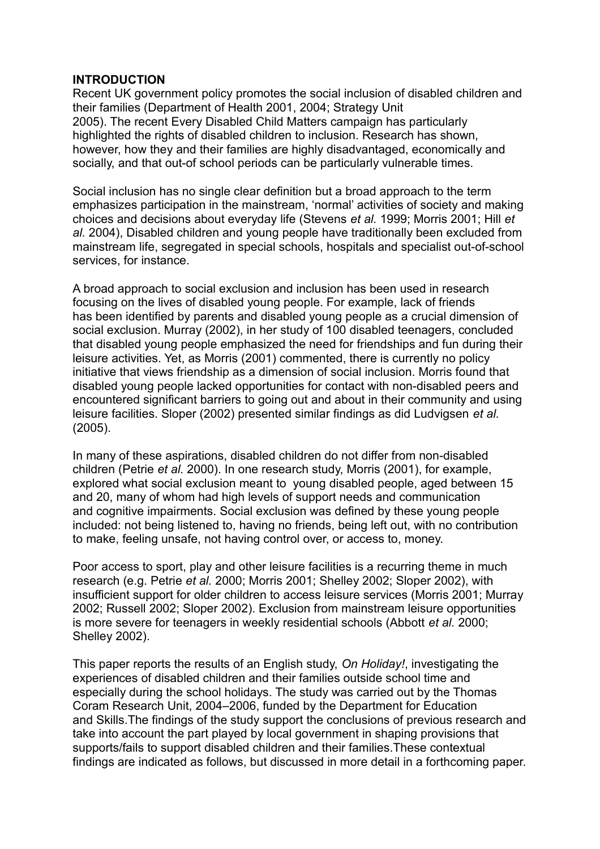### **INTRODUCTION**

Recent UK government policy promotes the social inclusion of disabled children and their families (Department of Health 2001, 2004; Strategy Unit 2005). The recent Every Disabled Child Matters campaign has particularly highlighted the rights of disabled children to inclusion. Research has shown, however, how they and their families are highly disadvantaged, economically and socially, and that out-of school periods can be particularly vulnerable times.

Social inclusion has no single clear definition but a broad approach to the term emphasizes participation in the mainstream, 'normal' activities of society and making choices and decisions about everyday life (Stevens *et al.* 1999; Morris 2001; Hill *et al.* 2004), Disabled children and young people have traditionally been excluded from mainstream life, segregated in special schools, hospitals and specialist out-of-school services, for instance.

A broad approach to social exclusion and inclusion has been used in research focusing on the lives of disabled young people. For example, lack of friends has been identified by parents and disabled young people as a crucial dimension of social exclusion. Murray (2002), in her study of 100 disabled teenagers, concluded that disabled young people emphasized the need for friendships and fun during their leisure activities. Yet, as Morris (2001) commented, there is currently no policy initiative that views friendship as a dimension of social inclusion. Morris found that disabled young people lacked opportunities for contact with non-disabled peers and encountered significant barriers to going out and about in their community and using leisure facilities. Sloper (2002) presented similar findings as did Ludvigsen *et al.* (2005).

In many of these aspirations, disabled children do not differ from non-disabled children (Petrie *et al.* 2000). In one research study, Morris (2001), for example, explored what social exclusion meant to young disabled people, aged between 15 and 20, many of whom had high levels of support needs and communication and cognitive impairments. Social exclusion was defined by these young people included: not being listened to, having no friends, being left out, with no contribution to make, feeling unsafe, not having control over, or access to, money.

Poor access to sport, play and other leisure facilities is a recurring theme in much research (e.g. Petrie *et al.* 2000; Morris 2001; Shelley 2002; Sloper 2002), with insufficient support for older children to access leisure services (Morris 2001; Murray 2002; Russell 2002; Sloper 2002). Exclusion from mainstream leisure opportunities is more severe for teenagers in weekly residential schools (Abbott *et al.* 2000; Shelley 2002).

This paper reports the results of an English study, *On Holiday!*, investigating the experiences of disabled children and their families outside school time and especially during the school holidays. The study was carried out by the Thomas Coram Research Unit, 2004–2006, funded by the Department for Education and Skills.The findings of the study support the conclusions of previous research and take into account the part played by local government in shaping provisions that supports/fails to support disabled children and their families.These contextual findings are indicated as follows, but discussed in more detail in a forthcoming paper.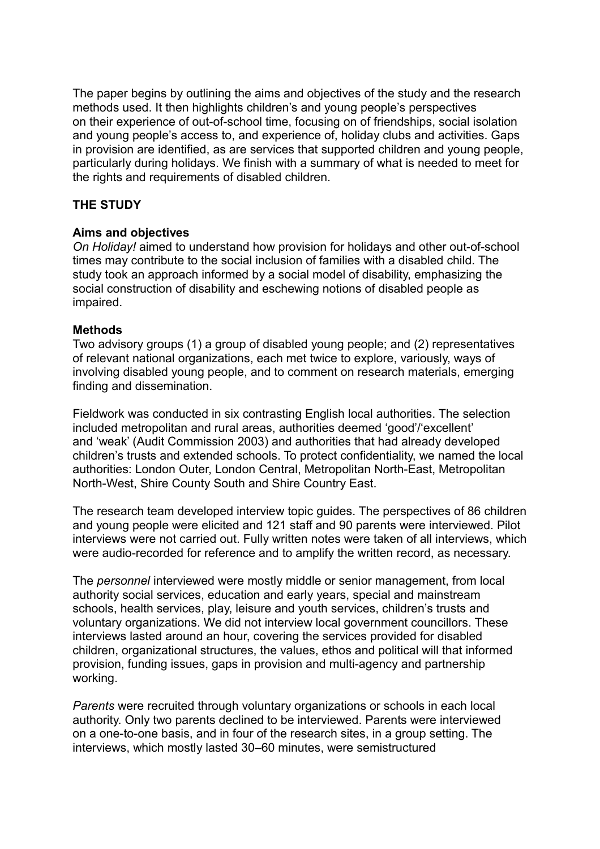The paper begins by outlining the aims and objectives of the study and the research methods used. It then highlights children's and young people's perspectives on their experience of out-of-school time, focusing on of friendships, social isolation and young people's access to, and experience of, holiday clubs and activities. Gaps in provision are identified, as are services that supported children and young people, particularly during holidays. We finish with a summary of what is needed to meet for the rights and requirements of disabled children.

# **THE STUDY**

### **Aims and objectives**

*On Holiday!* aimed to understand how provision for holidays and other out-of-school times may contribute to the social inclusion of families with a disabled child. The study took an approach informed by a social model of disability, emphasizing the social construction of disability and eschewing notions of disabled people as impaired.

### **Methods**

Two advisory groups (1) a group of disabled young people; and (2) representatives of relevant national organizations, each met twice to explore, variously, ways of involving disabled young people, and to comment on research materials, emerging finding and dissemination.

Fieldwork was conducted in six contrasting English local authorities. The selection included metropolitan and rural areas, authorities deemed 'good'/'excellent' and 'weak' (Audit Commission 2003) and authorities that had already developed children's trusts and extended schools. To protect confidentiality, we named the local authorities: London Outer, London Central, Metropolitan North-East, Metropolitan North-West, Shire County South and Shire Country East.

The research team developed interview topic guides. The perspectives of 86 children and young people were elicited and 121 staff and 90 parents were interviewed. Pilot interviews were not carried out. Fully written notes were taken of all interviews, which were audio-recorded for reference and to amplify the written record, as necessary.

The *personnel* interviewed were mostly middle or senior management, from local authority social services, education and early years, special and mainstream schools, health services, play, leisure and youth services, children's trusts and voluntary organizations. We did not interview local government councillors. These interviews lasted around an hour, covering the services provided for disabled children, organizational structures, the values, ethos and political will that informed provision, funding issues, gaps in provision and multi-agency and partnership working.

*Parents* were recruited through voluntary organizations or schools in each local authority. Only two parents declined to be interviewed. Parents were interviewed on a one-to-one basis, and in four of the research sites, in a group setting. The interviews, which mostly lasted 30–60 minutes, were semistructured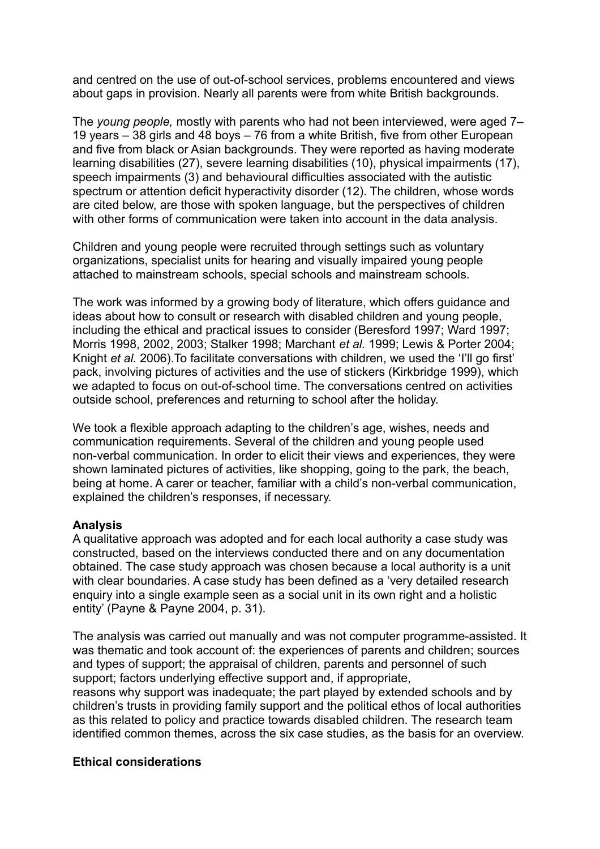and centred on the use of out-of-school services, problems encountered and views about gaps in provision. Nearly all parents were from white British backgrounds.

The *young people,* mostly with parents who had not been interviewed, were aged 7– 19 years – 38 girls and 48 boys – 76 from a white British, five from other European and five from black or Asian backgrounds. They were reported as having moderate learning disabilities (27), severe learning disabilities (10), physical impairments (17), speech impairments (3) and behavioural difficulties associated with the autistic spectrum or attention deficit hyperactivity disorder (12). The children, whose words are cited below, are those with spoken language, but the perspectives of children with other forms of communication were taken into account in the data analysis.

Children and young people were recruited through settings such as voluntary organizations, specialist units for hearing and visually impaired young people attached to mainstream schools, special schools and mainstream schools.

The work was informed by a growing body of literature, which offers guidance and ideas about how to consult or research with disabled children and young people, including the ethical and practical issues to consider (Beresford 1997; Ward 1997; Morris 1998, 2002, 2003; Stalker 1998; Marchant *et al.* 1999; Lewis & Porter 2004; Knight *et al.* 2006).To facilitate conversations with children, we used the 'I'll go first' pack, involving pictures of activities and the use of stickers (Kirkbridge 1999), which we adapted to focus on out-of-school time. The conversations centred on activities outside school, preferences and returning to school after the holiday.

We took a flexible approach adapting to the children's age, wishes, needs and communication requirements. Several of the children and young people used non-verbal communication. In order to elicit their views and experiences, they were shown laminated pictures of activities, like shopping, going to the park, the beach, being at home. A carer or teacher, familiar with a child's non-verbal communication, explained the children's responses, if necessary.

### **Analysis**

A qualitative approach was adopted and for each local authority a case study was constructed, based on the interviews conducted there and on any documentation obtained. The case study approach was chosen because a local authority is a unit with clear boundaries. A case study has been defined as a 'very detailed research enquiry into a single example seen as a social unit in its own right and a holistic entity' (Payne & Payne 2004, p. 31).

The analysis was carried out manually and was not computer programme-assisted. It was thematic and took account of: the experiences of parents and children; sources and types of support; the appraisal of children, parents and personnel of such support; factors underlying effective support and, if appropriate,

reasons why support was inadequate; the part played by extended schools and by children's trusts in providing family support and the political ethos of local authorities as this related to policy and practice towards disabled children. The research team identified common themes, across the six case studies, as the basis for an overview.

### **Ethical considerations**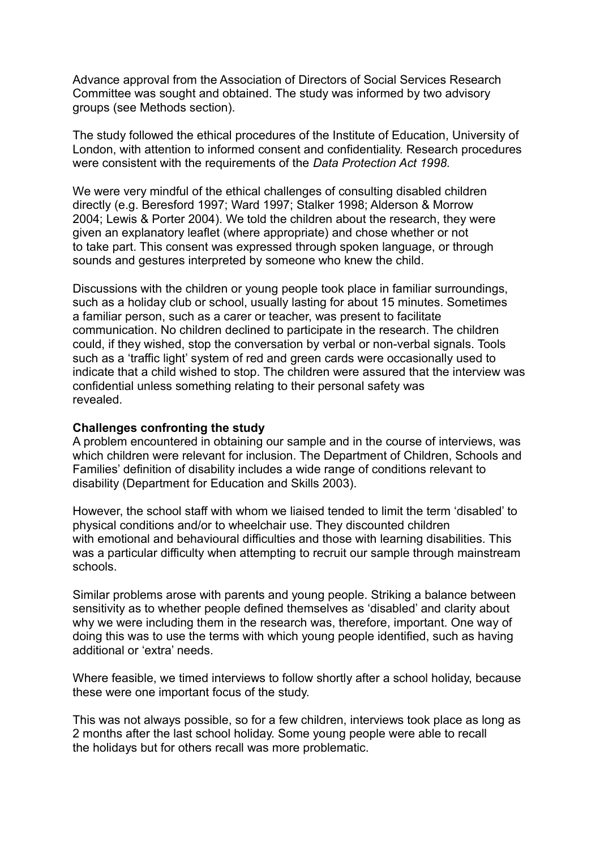Advance approval from the Association of Directors of Social Services Research Committee was sought and obtained. The study was informed by two advisory groups (see Methods section).

The study followed the ethical procedures of the Institute of Education, University of London, with attention to informed consent and confidentiality. Research procedures were consistent with the requirements of the *Data Protection Act 1998.*

We were very mindful of the ethical challenges of consulting disabled children directly (e.g. Beresford 1997; Ward 1997; Stalker 1998; Alderson & Morrow 2004; Lewis & Porter 2004). We told the children about the research, they were given an explanatory leaflet (where appropriate) and chose whether or not to take part. This consent was expressed through spoken language, or through sounds and gestures interpreted by someone who knew the child.

Discussions with the children or young people took place in familiar surroundings, such as a holiday club or school, usually lasting for about 15 minutes. Sometimes a familiar person, such as a carer or teacher, was present to facilitate communication. No children declined to participate in the research. The children could, if they wished, stop the conversation by verbal or non-verbal signals. Tools such as a 'traffic light' system of red and green cards were occasionally used to indicate that a child wished to stop. The children were assured that the interview was confidential unless something relating to their personal safety was revealed.

#### **Challenges confronting the study**

A problem encountered in obtaining our sample and in the course of interviews, was which children were relevant for inclusion. The Department of Children, Schools and Families' definition of disability includes a wide range of conditions relevant to disability (Department for Education and Skills 2003).

However, the school staff with whom we liaised tended to limit the term 'disabled' to physical conditions and/or to wheelchair use. They discounted children with emotional and behavioural difficulties and those with learning disabilities. This was a particular difficulty when attempting to recruit our sample through mainstream schools.

Similar problems arose with parents and young people. Striking a balance between sensitivity as to whether people defined themselves as 'disabled' and clarity about why we were including them in the research was, therefore, important. One way of doing this was to use the terms with which young people identified, such as having additional or 'extra' needs.

Where feasible, we timed interviews to follow shortly after a school holiday, because these were one important focus of the study.

This was not always possible, so for a few children, interviews took place as long as 2 months after the last school holiday. Some young people were able to recall the holidays but for others recall was more problematic.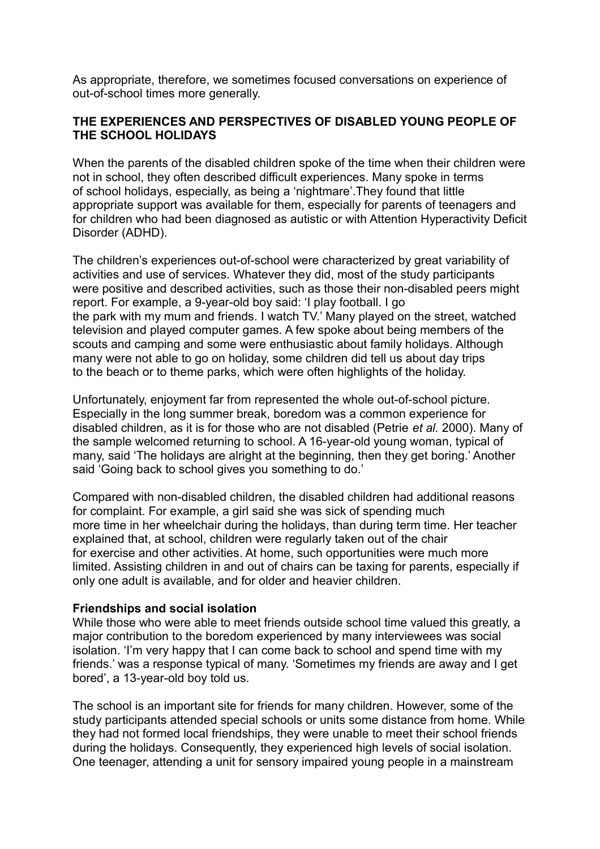As appropriate, therefore, we sometimes focused conversations on experience of out-of-school times more generally.

## **THE EXPERIENCES AND PERSPECTIVES OF DISABLED YOUNG PEOPLE OF THE SCHOOL HOLIDAYS**

When the parents of the disabled children spoke of the time when their children were not in school, they often described difficult experiences. Many spoke in terms of school holidays, especially, as being a 'nightmare'.They found that little appropriate support was available for them, especially for parents of teenagers and for children who had been diagnosed as autistic or with Attention Hyperactivity Deficit Disorder (ADHD).

The children's experiences out-of-school were characterized by great variability of activities and use of services. Whatever they did, most of the study participants were positive and described activities, such as those their non-disabled peers might report. For example, a 9-year-old boy said: 'I play football. I go the park with my mum and friends. I watch TV.' Many played on the street, watched television and played computer games. A few spoke about being members of the scouts and camping and some were enthusiastic about family holidays. Although many were not able to go on holiday, some children did tell us about day trips to the beach or to theme parks, which were often highlights of the holiday.

Unfortunately, enjoyment far from represented the whole out-of-school picture. Especially in the long summer break, boredom was a common experience for disabled children, as it is for those who are not disabled (Petrie *et al.* 2000). Many of the sample welcomed returning to school. A 16-year-old young woman, typical of many, said 'The holidays are alright at the beginning, then they get boring.' Another said 'Going back to school gives you something to do.'

Compared with non-disabled children, the disabled children had additional reasons for complaint. For example, a girl said she was sick of spending much more time in her wheelchair during the holidays, than during term time. Her teacher explained that, at school, children were regularly taken out of the chair for exercise and other activities. At home, such opportunities were much more limited. Assisting children in and out of chairs can be taxing for parents, especially if only one adult is available, and for older and heavier children.

### **Friendships and social isolation**

While those who were able to meet friends outside school time valued this greatly, a major contribution to the boredom experienced by many interviewees was social isolation. 'I'm very happy that I can come back to school and spend time with my friends.' was a response typical of many. 'Sometimes my friends are away and I get bored', a 13-year-old boy told us.

The school is an important site for friends for many children. However, some of the study participants attended special schools or units some distance from home. While they had not formed local friendships, they were unable to meet their school friends during the holidays. Consequently, they experienced high levels of social isolation. One teenager, attending a unit for sensory impaired young people in a mainstream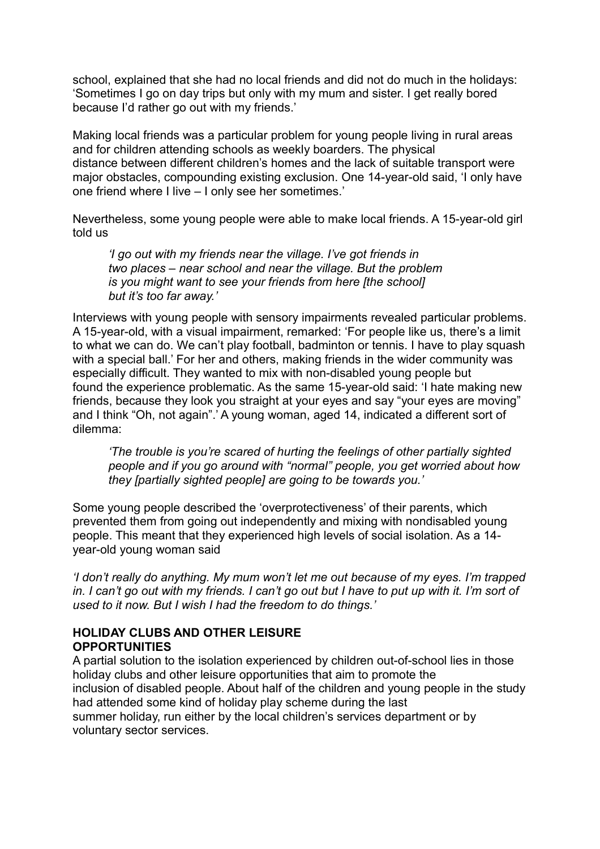school, explained that she had no local friends and did not do much in the holidays: 'Sometimes I go on day trips but only with my mum and sister. I get really bored because I'd rather go out with my friends.'

Making local friends was a particular problem for young people living in rural areas and for children attending schools as weekly boarders. The physical distance between different children's homes and the lack of suitable transport were major obstacles, compounding existing exclusion. One 14-year-old said, 'I only have one friend where I live – I only see her sometimes.'

Nevertheless, some young people were able to make local friends. A 15-year-old girl told us

*'I go out with my friends near the village. I've got friends in two places – near school and near the village. But the problem is you might want to see your friends from here [the school] but it's too far away.'*

Interviews with young people with sensory impairments revealed particular problems. A 15-year-old, with a visual impairment, remarked: 'For people like us, there's a limit to what we can do. We can't play football, badminton or tennis. I have to play squash with a special ball.' For her and others, making friends in the wider community was especially difficult. They wanted to mix with non-disabled young people but found the experience problematic. As the same 15-year-old said: 'I hate making new friends, because they look you straight at your eyes and say "your eyes are moving" and I think "Oh, not again".' A young woman, aged 14, indicated a different sort of dilemma:

*'The trouble is you're scared of hurting the feelings of other partially sighted people and if you go around with "normal" people, you get worried about how they [partially sighted people] are going to be towards you.'*

Some young people described the 'overprotectiveness' of their parents, which prevented them from going out independently and mixing with nondisabled young people. This meant that they experienced high levels of social isolation. As a 14 year-old young woman said

*'I don't really do anything. My mum won't let me out because of my eyes. I'm trapped in. I can't go out with my friends. I can't go out but I have to put up with it. I'm sort of used to it now. But I wish I had the freedom to do things.'*

### **HOLIDAY CLUBS AND OTHER LEISURE OPPORTUNITIES**

A partial solution to the isolation experienced by children out-of-school lies in those holiday clubs and other leisure opportunities that aim to promote the inclusion of disabled people. About half of the children and young people in the study had attended some kind of holiday play scheme during the last summer holiday, run either by the local children's services department or by voluntary sector services.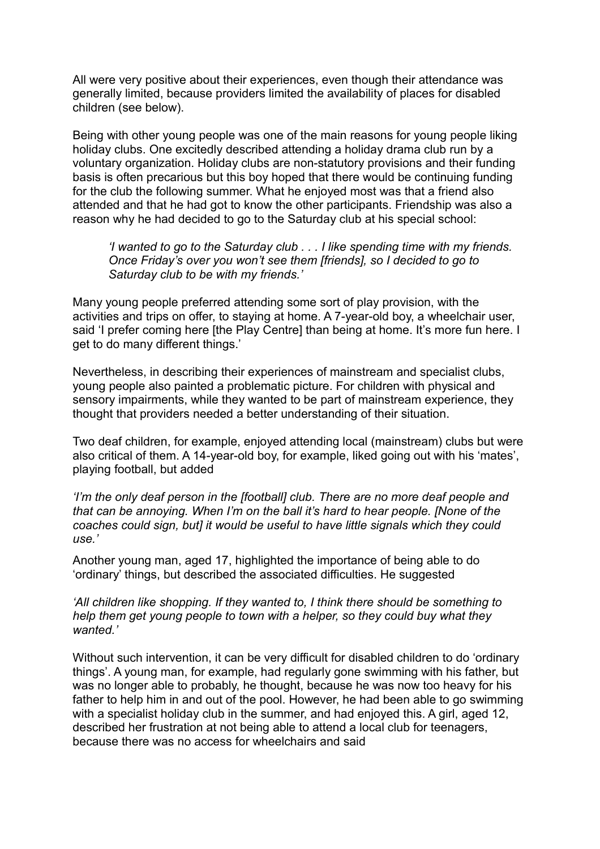All were very positive about their experiences, even though their attendance was generally limited, because providers limited the availability of places for disabled children (see below).

Being with other young people was one of the main reasons for young people liking holiday clubs. One excitedly described attending a holiday drama club run by a voluntary organization. Holiday clubs are non-statutory provisions and their funding basis is often precarious but this boy hoped that there would be continuing funding for the club the following summer. What he enjoyed most was that a friend also attended and that he had got to know the other participants. Friendship was also a reason why he had decided to go to the Saturday club at his special school:

*'I wanted to go to the Saturday club . . . I like spending time with my friends. Once Friday's over you won't see them [friends], so I decided to go to Saturday club to be with my friends.'*

Many young people preferred attending some sort of play provision, with the activities and trips on offer, to staying at home. A 7-year-old boy, a wheelchair user, said 'I prefer coming here [the Play Centre] than being at home. It's more fun here. I get to do many different things.'

Nevertheless, in describing their experiences of mainstream and specialist clubs, young people also painted a problematic picture. For children with physical and sensory impairments, while they wanted to be part of mainstream experience, they thought that providers needed a better understanding of their situation.

Two deaf children, for example, enjoyed attending local (mainstream) clubs but were also critical of them. A 14-year-old boy, for example, liked going out with his 'mates', playing football, but added

*'I'm the only deaf person in the [football] club. There are no more deaf people and that can be annoying. When I'm on the ball it's hard to hear people. [None of the coaches could sign, but] it would be useful to have little signals which they could use.'*

Another young man, aged 17, highlighted the importance of being able to do 'ordinary' things, but described the associated difficulties. He suggested

*'All children like shopping. If they wanted to, I think there should be something to help them get young people to town with a helper, so they could buy what they wanted.'*

Without such intervention, it can be very difficult for disabled children to do 'ordinary things'. A young man, for example, had regularly gone swimming with his father, but was no longer able to probably, he thought, because he was now too heavy for his father to help him in and out of the pool. However, he had been able to go swimming with a specialist holiday club in the summer, and had enjoyed this. A girl, aged 12, described her frustration at not being able to attend a local club for teenagers, because there was no access for wheelchairs and said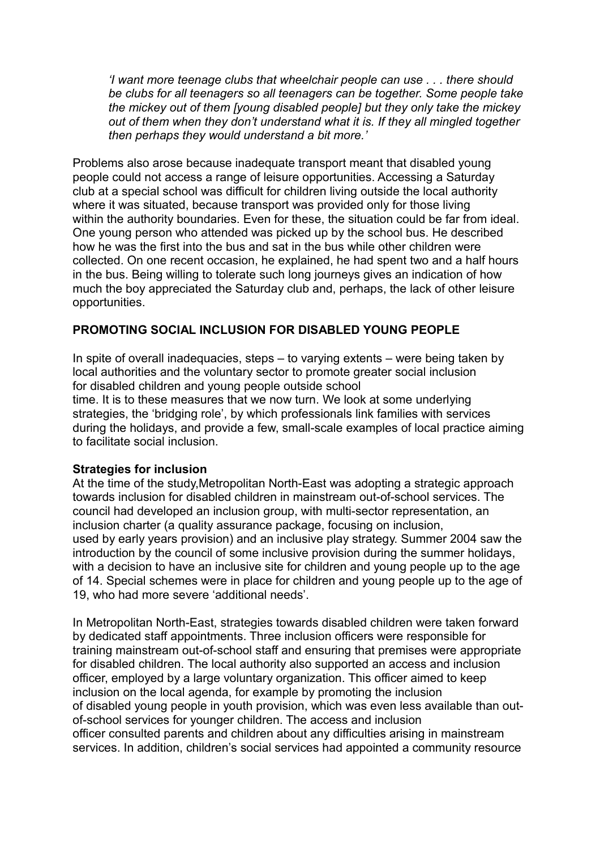*'I want more teenage clubs that wheelchair people can use . . . there should be clubs for all teenagers so all teenagers can be together. Some people take the mickey out of them [young disabled people] but they only take the mickey out of them when they don't understand what it is. If they all mingled together then perhaps they would understand a bit more.'*

Problems also arose because inadequate transport meant that disabled young people could not access a range of leisure opportunities. Accessing a Saturday club at a special school was difficult for children living outside the local authority where it was situated, because transport was provided only for those living within the authority boundaries. Even for these, the situation could be far from ideal. One young person who attended was picked up by the school bus. He described how he was the first into the bus and sat in the bus while other children were collected. On one recent occasion, he explained, he had spent two and a half hours in the bus. Being willing to tolerate such long journeys gives an indication of how much the boy appreciated the Saturday club and, perhaps, the lack of other leisure opportunities.

### **PROMOTING SOCIAL INCLUSION FOR DISABLED YOUNG PEOPLE**

In spite of overall inadequacies, steps – to varying extents – were being taken by local authorities and the voluntary sector to promote greater social inclusion for disabled children and young people outside school

time. It is to these measures that we now turn. We look at some underlying strategies, the 'bridging role', by which professionals link families with services during the holidays, and provide a few, small-scale examples of local practice aiming to facilitate social inclusion.

### **Strategies for inclusion**

At the time of the study,Metropolitan North-East was adopting a strategic approach towards inclusion for disabled children in mainstream out-of-school services. The council had developed an inclusion group, with multi-sector representation, an inclusion charter (a quality assurance package, focusing on inclusion, used by early years provision) and an inclusive play strategy. Summer 2004 saw the introduction by the council of some inclusive provision during the summer holidays, with a decision to have an inclusive site for children and young people up to the age of 14. Special schemes were in place for children and young people up to the age of 19, who had more severe 'additional needs'.

In Metropolitan North-East, strategies towards disabled children were taken forward by dedicated staff appointments. Three inclusion officers were responsible for training mainstream out-of-school staff and ensuring that premises were appropriate for disabled children. The local authority also supported an access and inclusion officer, employed by a large voluntary organization. This officer aimed to keep inclusion on the local agenda, for example by promoting the inclusion of disabled young people in youth provision, which was even less available than outof-school services for younger children. The access and inclusion officer consulted parents and children about any difficulties arising in mainstream services. In addition, children's social services had appointed a community resource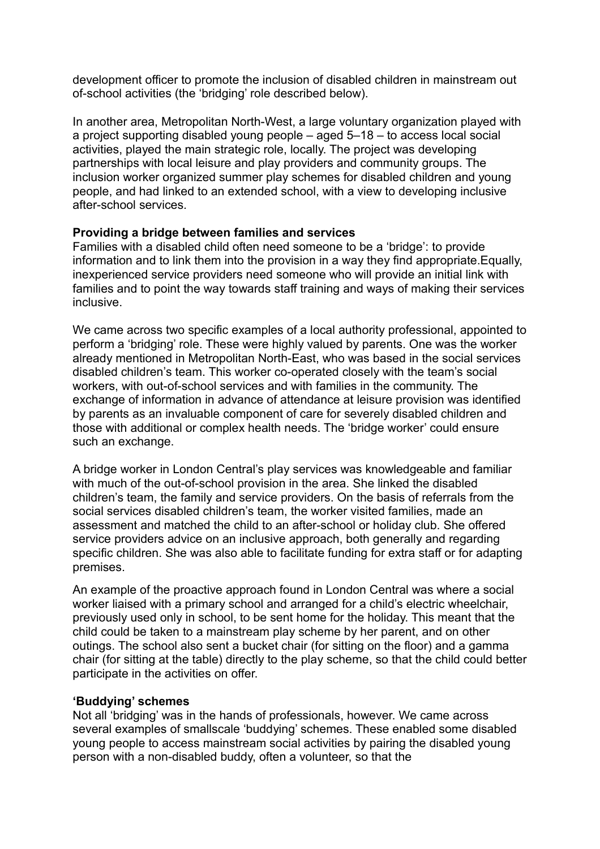development officer to promote the inclusion of disabled children in mainstream out of-school activities (the 'bridging' role described below).

In another area, Metropolitan North-West, a large voluntary organization played with a project supporting disabled young people – aged 5–18 – to access local social activities, played the main strategic role, locally. The project was developing partnerships with local leisure and play providers and community groups. The inclusion worker organized summer play schemes for disabled children and young people, and had linked to an extended school, with a view to developing inclusive after-school services*.*

### **Providing a bridge between families and services**

Families with a disabled child often need someone to be a 'bridge': to provide information and to link them into the provision in a way they find appropriate.Equally, inexperienced service providers need someone who will provide an initial link with families and to point the way towards staff training and ways of making their services inclusive.

We came across two specific examples of a local authority professional, appointed to perform a 'bridging' role. These were highly valued by parents. One was the worker already mentioned in Metropolitan North-East, who was based in the social services disabled children's team. This worker co-operated closely with the team's social workers, with out-of-school services and with families in the community. The exchange of information in advance of attendance at leisure provision was identified by parents as an invaluable component of care for severely disabled children and those with additional or complex health needs. The 'bridge worker' could ensure such an exchange.

A bridge worker in London Central's play services was knowledgeable and familiar with much of the out-of-school provision in the area. She linked the disabled children's team, the family and service providers. On the basis of referrals from the social services disabled children's team, the worker visited families, made an assessment and matched the child to an after-school or holiday club. She offered service providers advice on an inclusive approach, both generally and regarding specific children. She was also able to facilitate funding for extra staff or for adapting premises.

An example of the proactive approach found in London Central was where a social worker liaised with a primary school and arranged for a child's electric wheelchair, previously used only in school, to be sent home for the holiday. This meant that the child could be taken to a mainstream play scheme by her parent, and on other outings. The school also sent a bucket chair (for sitting on the floor) and a gamma chair (for sitting at the table) directly to the play scheme, so that the child could better participate in the activities on offer.

### **'Buddying' schemes**

Not all 'bridging' was in the hands of professionals, however. We came across several examples of smallscale 'buddying' schemes. These enabled some disabled young people to access mainstream social activities by pairing the disabled young person with a non-disabled buddy, often a volunteer, so that the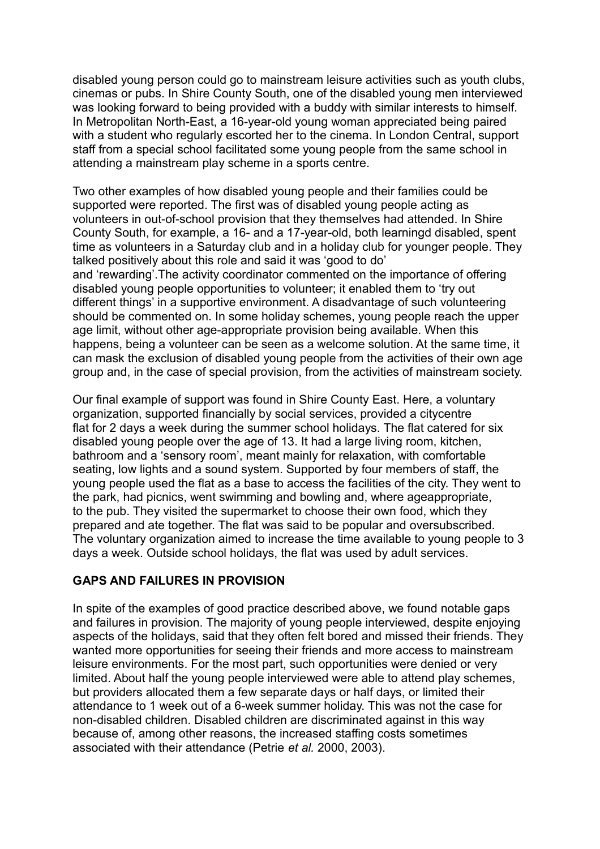disabled young person could go to mainstream leisure activities such as youth clubs, cinemas or pubs. In Shire County South, one of the disabled young men interviewed was looking forward to being provided with a buddy with similar interests to himself. In Metropolitan North-East, a 16-year-old young woman appreciated being paired with a student who regularly escorted her to the cinema. In London Central, support staff from a special school facilitated some young people from the same school in attending a mainstream play scheme in a sports centre.

Two other examples of how disabled young people and their families could be supported were reported. The first was of disabled young people acting as volunteers in out-of-school provision that they themselves had attended. In Shire County South, for example, a 16- and a 17-year-old, both learningd disabled, spent time as volunteers in a Saturday club and in a holiday club for younger people. They talked positively about this role and said it was 'good to do' and 'rewarding'.The activity coordinator commented on the importance of offering disabled young people opportunities to volunteer; it enabled them to 'try out different things' in a supportive environment. A disadvantage of such volunteering should be commented on. In some holiday schemes, young people reach the upper age limit, without other age-appropriate provision being available. When this happens, being a volunteer can be seen as a welcome solution. At the same time, it can mask the exclusion of disabled young people from the activities of their own age group and, in the case of special provision, from the activities of mainstream society.

Our final example of support was found in Shire County East. Here, a voluntary organization, supported financially by social services, provided a citycentre flat for 2 days a week during the summer school holidays. The flat catered for six disabled young people over the age of 13. It had a large living room, kitchen, bathroom and a 'sensory room', meant mainly for relaxation, with comfortable seating, low lights and a sound system. Supported by four members of staff, the young people used the flat as a base to access the facilities of the city. They went to the park, had picnics, went swimming and bowling and, where ageappropriate, to the pub. They visited the supermarket to choose their own food, which they prepared and ate together. The flat was said to be popular and oversubscribed. The voluntary organization aimed to increase the time available to young people to 3 days a week. Outside school holidays, the flat was used by adult services.

### **GAPS AND FAILURES IN PROVISION**

In spite of the examples of good practice described above, we found notable gaps and failures in provision. The majority of young people interviewed, despite enjoying aspects of the holidays, said that they often felt bored and missed their friends. They wanted more opportunities for seeing their friends and more access to mainstream leisure environments. For the most part, such opportunities were denied or very limited. About half the young people interviewed were able to attend play schemes, but providers allocated them a few separate days or half days, or limited their attendance to 1 week out of a 6-week summer holiday. This was not the case for non-disabled children. Disabled children are discriminated against in this way because of, among other reasons, the increased staffing costs sometimes associated with their attendance (Petrie *et al.* 2000, 2003).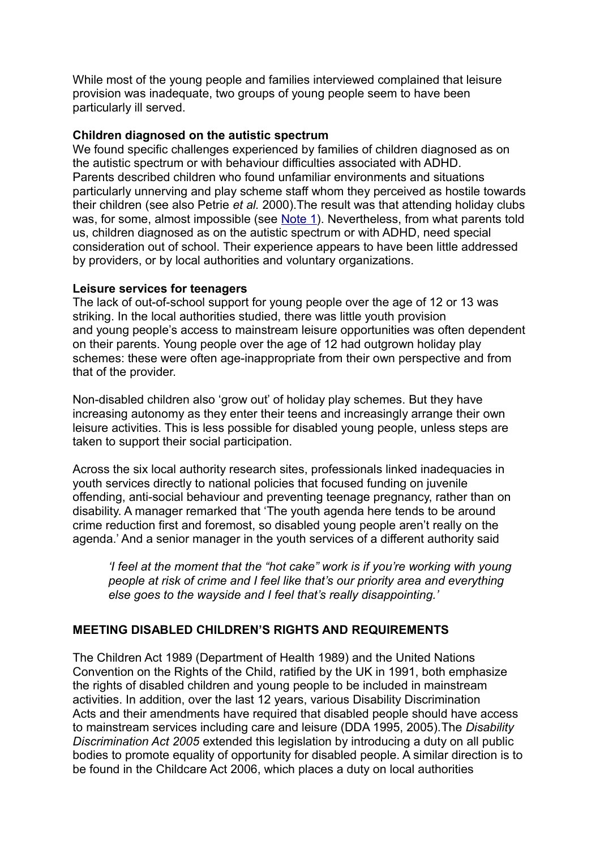While most of the young people and families interviewed complained that leisure provision was inadequate, two groups of young people seem to have been particularly ill served.

#### **Children diagnosed on the autistic spectrum**

We found specific challenges experienced by families of children diagnosed as on the autistic spectrum or with behaviour difficulties associated with ADHD. Parents described children who found unfamiliar environments and situations particularly unnerving and play scheme staff whom they perceived as hostile towards their children (see also Petrie *et al.* 2000).The result was that attending holiday clubs was, for some, almost impossible (see Note 1). Nevertheless, from what parents told us, children diagnosed as on the autistic spectrum or with ADHD, need special consideration out of school. Their experience appears to have been little addressed by providers, or by local authorities and voluntary organizations.

#### **Leisure services for teenagers**

The lack of out-of-school support for young people over the age of 12 or 13 was striking. In the local authorities studied, there was little youth provision and young people's access to mainstream leisure opportunities was often dependent on their parents. Young people over the age of 12 had outgrown holiday play schemes: these were often age-inappropriate from their own perspective and from that of the provider.

Non-disabled children also 'grow out' of holiday play schemes. But they have increasing autonomy as they enter their teens and increasingly arrange their own leisure activities. This is less possible for disabled young people, unless steps are taken to support their social participation.

Across the six local authority research sites, professionals linked inadequacies in youth services directly to national policies that focused funding on juvenile offending, anti-social behaviour and preventing teenage pregnancy, rather than on disability. A manager remarked that 'The youth agenda here tends to be around crime reduction first and foremost, so disabled young people aren't really on the agenda.' And a senior manager in the youth services of a different authority said

*'I feel at the moment that the "hot cake" work is if you're working with young people at risk of crime and I feel like that's our priority area and everything else goes to the wayside and I feel that's really disappointing.'*

### **MEETING DISABLED CHILDREN'S RIGHTS AND REQUIREMENTS**

The Children Act 1989 (Department of Health 1989) and the United Nations Convention on the Rights of the Child, ratified by the UK in 1991, both emphasize the rights of disabled children and young people to be included in mainstream activities. In addition, over the last 12 years, various Disability Discrimination Acts and their amendments have required that disabled people should have access to mainstream services including care and leisure (DDA 1995, 2005).The *Disability Discrimination Act 2005* extended this legislation by introducing a duty on all public bodies to promote equality of opportunity for disabled people. A similar direction is to be found in the Childcare Act 2006, which places a duty on local authorities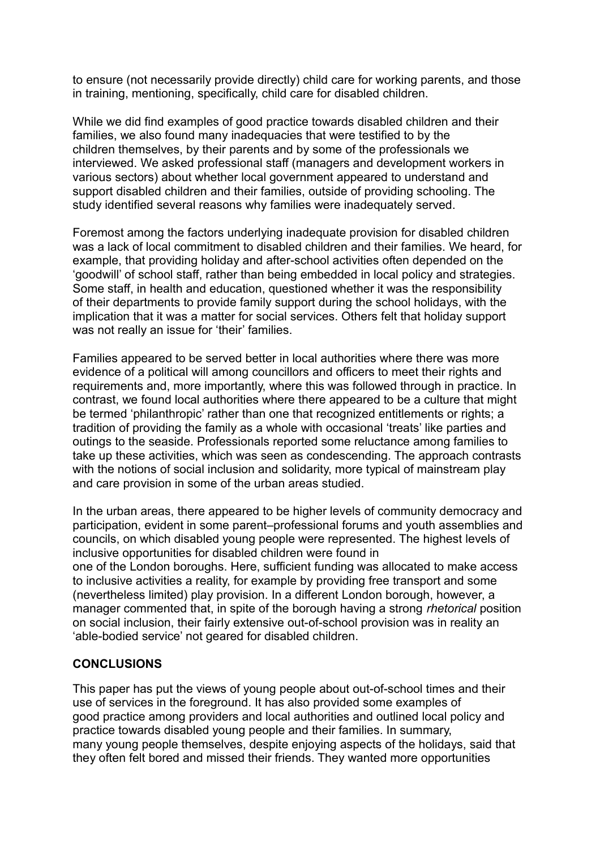to ensure (not necessarily provide directly) child care for working parents, and those in training, mentioning, specifically, child care for disabled children.

While we did find examples of good practice towards disabled children and their families, we also found many inadequacies that were testified to by the children themselves, by their parents and by some of the professionals we interviewed. We asked professional staff (managers and development workers in various sectors) about whether local government appeared to understand and support disabled children and their families, outside of providing schooling. The study identified several reasons why families were inadequately served.

Foremost among the factors underlying inadequate provision for disabled children was a lack of local commitment to disabled children and their families. We heard, for example, that providing holiday and after-school activities often depended on the 'goodwill' of school staff, rather than being embedded in local policy and strategies. Some staff, in health and education, questioned whether it was the responsibility of their departments to provide family support during the school holidays, with the implication that it was a matter for social services. Others felt that holiday support was not really an issue for 'their' families.

Families appeared to be served better in local authorities where there was more evidence of a political will among councillors and officers to meet their rights and requirements and, more importantly, where this was followed through in practice. In contrast, we found local authorities where there appeared to be a culture that might be termed 'philanthropic' rather than one that recognized entitlements or rights; a tradition of providing the family as a whole with occasional 'treats' like parties and outings to the seaside. Professionals reported some reluctance among families to take up these activities, which was seen as condescending. The approach contrasts with the notions of social inclusion and solidarity, more typical of mainstream play and care provision in some of the urban areas studied.

In the urban areas, there appeared to be higher levels of community democracy and participation, evident in some parent–professional forums and youth assemblies and councils, on which disabled young people were represented. The highest levels of inclusive opportunities for disabled children were found in one of the London boroughs. Here, sufficient funding was allocated to make access to inclusive activities a reality, for example by providing free transport and some (nevertheless limited) play provision. In a different London borough, however, a manager commented that, in spite of the borough having a strong *rhetorical* position on social inclusion, their fairly extensive out-of-school provision was in reality an 'able-bodied service' not geared for disabled children.

### **CONCLUSIONS**

This paper has put the views of young people about out-of-school times and their use of services in the foreground. It has also provided some examples of good practice among providers and local authorities and outlined local policy and practice towards disabled young people and their families. In summary, many young people themselves, despite enjoying aspects of the holidays, said that they often felt bored and missed their friends. They wanted more opportunities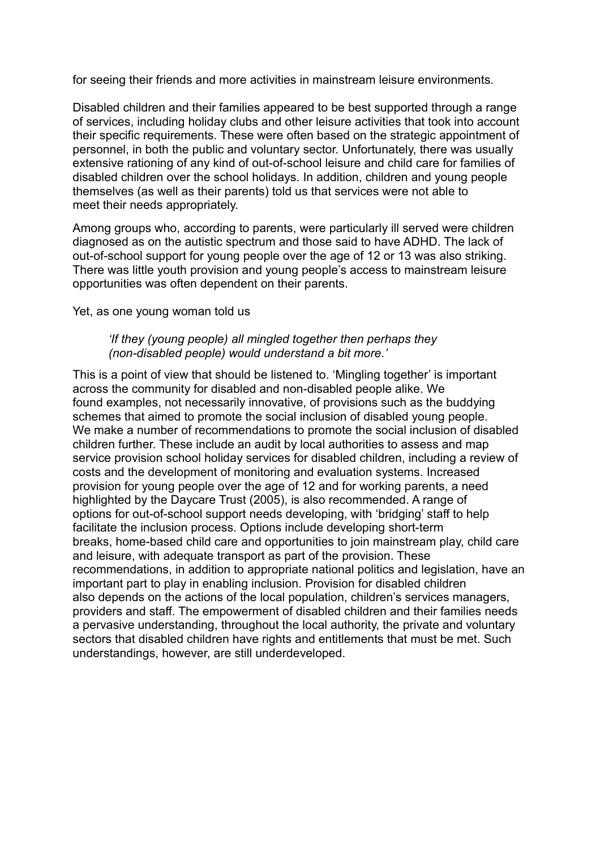for seeing their friends and more activities in mainstream leisure environments.

Disabled children and their families appeared to be best supported through a range of services, including holiday clubs and other leisure activities that took into account their specific requirements. These were often based on the strategic appointment of personnel, in both the public and voluntary sector. Unfortunately, there was usually extensive rationing of any kind of out-of-school leisure and child care for families of disabled children over the school holidays. In addition, children and young people themselves (as well as their parents) told us that services were not able to meet their needs appropriately.

Among groups who, according to parents, were particularly ill served were children diagnosed as on the autistic spectrum and those said to have ADHD. The lack of out-of-school support for young people over the age of 12 or 13 was also striking. There was little youth provision and young people's access to mainstream leisure opportunities was often dependent on their parents.

Yet, as one young woman told us

#### *'If they (young people) all mingled together then perhaps they (non-disabled people) would understand a bit more.'*

This is a point of view that should be listened to. 'Mingling together' is important across the community for disabled and non-disabled people alike. We found examples, not necessarily innovative, of provisions such as the buddying schemes that aimed to promote the social inclusion of disabled young people. We make a number of recommendations to promote the social inclusion of disabled children further. These include an audit by local authorities to assess and map service provision school holiday services for disabled children, including a review of costs and the development of monitoring and evaluation systems. Increased provision for young people over the age of 12 and for working parents, a need highlighted by the Daycare Trust (2005), is also recommended. A range of options for out-of-school support needs developing, with 'bridging' staff to help facilitate the inclusion process. Options include developing short-term breaks, home-based child care and opportunities to join mainstream play, child care and leisure, with adequate transport as part of the provision. These recommendations, in addition to appropriate national politics and legislation, have an important part to play in enabling inclusion. Provision for disabled children also depends on the actions of the local population, children's services managers, providers and staff. The empowerment of disabled children and their families needs a pervasive understanding, throughout the local authority, the private and voluntary sectors that disabled children have rights and entitlements that must be met. Such understandings, however, are still underdeveloped.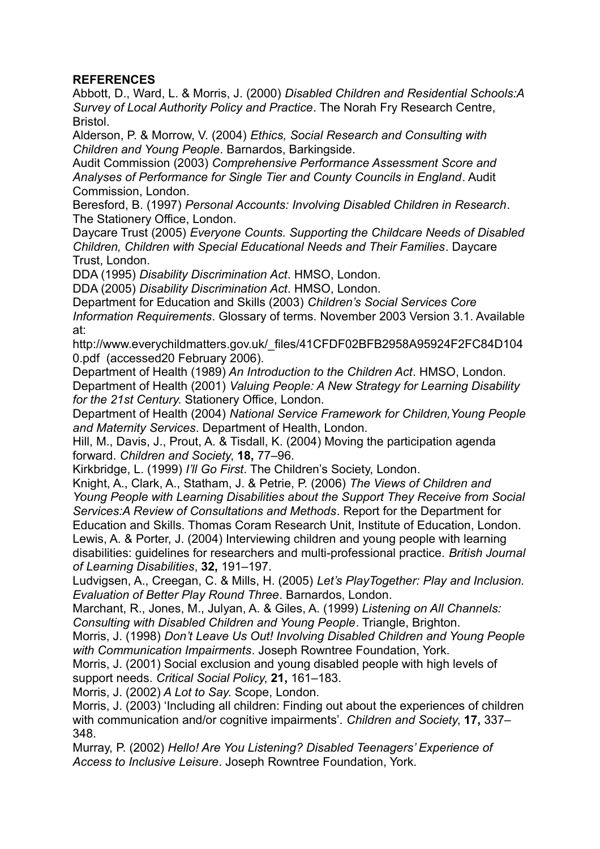# **REFERENCES**

Abbott, D., Ward, L. & Morris, J. (2000) *Disabled Children and Residential Schools:A Survey of Local Authority Policy and Practice*. The Norah Fry Research Centre, Bristol.

Alderson, P. & Morrow, V. (2004) *Ethics, Social Research and Consulting with Children and Young People*. Barnardos, Barkingside.

Audit Commission (2003) *Comprehensive Performance Assessment Score and Analyses of Performance for Single Tier and County Councils in England*. Audit Commission, London.

Beresford, B. (1997) *Personal Accounts: Involving Disabled Children in Research*. The Stationery Office, London.

Daycare Trust (2005) *Everyone Counts. Supporting the Childcare Needs of Disabled Children, Children with Special Educational Needs and Their Families*. Daycare Trust, London.

DDA (1995) *Disability Discrimination Act*. HMSO, London.

DDA (2005) *Disability Discrimination Act*. HMSO, London.

Department for Education and Skills (2003) *Children's Social Services Core Information Requirements*. Glossary of terms. November 2003 Version 3.1. Available at:

http://www.everychildmatters.gov.uk/\_files/41CFDF02BFB2958A95924F2FC84D104 0.pdf (accessed20 February 2006).

Department of Health (1989) *An Introduction to the Children Act*. HMSO, London. Department of Health (2001) *Valuing People: A New Strategy for Learning Disability for the 21st Century*. Stationery Office, London.

Department of Health (2004) *National Service Framework for Children,Young People and Maternity Services*. Department of Health, London.

Hill, M., Davis, J., Prout, A. & Tisdall, K. (2004) Moving the participation agenda forward. *Children and Society*, **18,** 77–96.

Kirkbridge, L. (1999) *I'll Go First*. The Children's Society, London.

Knight, A., Clark, A., Statham, J. & Petrie, P. (2006) *The Views of Children and Young People with Learning Disabilities about the Support They Receive from Social Services:A Review of Consultations and Methods*. Report for the Department for Education and Skills. Thomas Coram Research Unit, Institute of Education, London. Lewis, A. & Porter, J. (2004) Interviewing children and young people with learning disabilities: guidelines for researchers and multi-professional practice. *British Journal of Learning Disabilities*, **32,** 191–197.

Ludvigsen, A., Creegan, C. & Mills, H. (2005) *Let's PlayTogether: Play and Inclusion. Evaluation of Better Play Round Three*. Barnardos, London.

Marchant, R., Jones, M., Julyan, A. & Giles, A. (1999) *Listening on All Channels: Consulting with Disabled Children and Young People*. Triangle, Brighton.

Morris, J. (1998) *Don't Leave Us Out! Involving Disabled Children and Young People with Communication Impairments*. Joseph Rowntree Foundation, York.

Morris, J. (2001) Social exclusion and young disabled people with high levels of support needs. *Critical Social Policy*, **21,** 161–183.

Morris, J. (2002) *A Lot to Say*. Scope, London.

Morris, J. (2003) 'Including all children: Finding out about the experiences of children with communication and/or cognitive impairments'. *Children and Society*, **17,** 337– 348.

Murray, P. (2002) *Hello! Are You Listening? Disabled Teenagers' Experience of Access to Inclusive Leisure*. Joseph Rowntree Foundation, York.